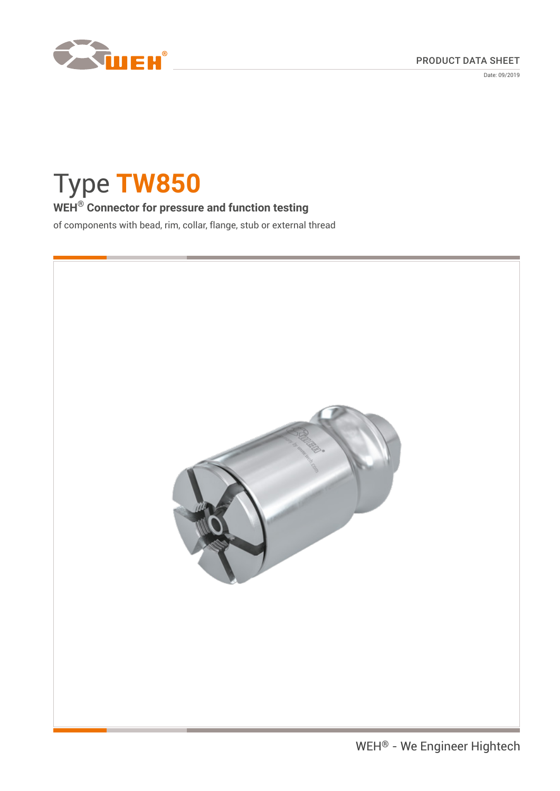

Date: 09/2019

# Type **TW850**

# **WEH® Connector for pressure and function testing**

of components with bead, rim, collar, flange, stub or external thread

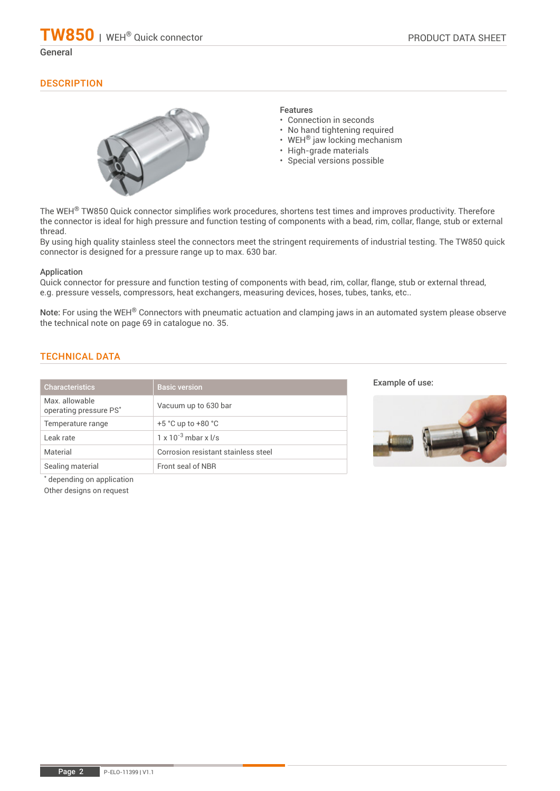# **DESCRIPTION**

![](_page_1_Picture_4.jpeg)

### Features

- Connection in seconds
- No hand tightening required
- WEH<sup>®</sup> jaw locking mechanism
- High-grade materials
- Special versions possible

The WEH<sup>®</sup> TW850 Quick connector simplifies work procedures, shortens test times and improves productivity. Therefore the connector is ideal for high pressure and function testing of components with a bead, rim, collar, flange, stub or external thread.

By using high quality stainless steel the connectors meet the stringent requirements of industrial testing. The TW850 quick connector is designed for a pressure range up to max. 630 bar.

#### Application

Quick connector for pressure and function testing of components with bead, rim, collar, flange, stub or external thread, e.g. pressure vessels, compressors, heat exchangers, measuring devices, hoses, tubes, tanks, etc..

Note: For using the WEH<sup>®</sup> Connectors with pneumatic actuation and clamping jaws in an automated system please observe the technical note on page 69 in catalogue no. 35.

# TECHNICAL DATA

| <b>Characteristics</b>                                                                                           | <b>Basic version</b>                |
|------------------------------------------------------------------------------------------------------------------|-------------------------------------|
| Max. allowable<br>operating pressure PS*                                                                         | Vacuum up to 630 bar                |
| Temperature range                                                                                                | $+5$ °C up to $+80$ °C              |
| Leak rate                                                                                                        | $1 \times 10^{-3}$ mbar x $1/s$     |
| Material                                                                                                         | Corrosion resistant stainless steel |
| Sealing material                                                                                                 | Front seal of NBR                   |
| with the state of the state of the state of the state of the state of the state of the state of the state of the |                                     |

Example of use:

![](_page_1_Picture_19.jpeg)

\* depending on application

Other designs on request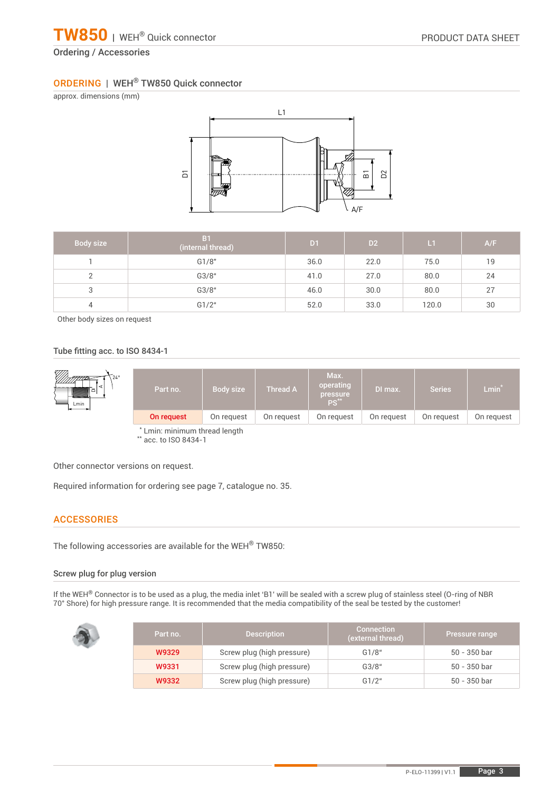# Ordering / Accessories

## ORDERING | WEH® TW850 Quick connector

approx. dimensions (mm)

![](_page_2_Figure_5.jpeg)

| Body size | B <sub>1</sub><br>(internal thread) | D <sub>1</sub> | D <sub>2</sub> | L1    | A/F |
|-----------|-------------------------------------|----------------|----------------|-------|-----|
|           | G1/8"                               | 36.0           | 22.0           | 75.0  | 19  |
|           | G3/8"                               | 41.0           | 27.0           | 80.0  | 24  |
| 3         | G3/8"                               | 46.0           | 30.0           | 80.0  | 27  |
| 4         | G1/2"                               | 52.0           | 33.0           | 120.0 | 30  |

Other body sizes on request

#### Tube fitting acc. to ISO 8434-1

| 7///)<br>$24^\circ$<br>◅<br>Lmin | Part no.                       | Body size  | <b>Thread A</b> | Max.<br>operating<br>pressure<br>/PS** | DI max.    | <b>Series</b> | $Lmin*$    |
|----------------------------------|--------------------------------|------------|-----------------|----------------------------------------|------------|---------------|------------|
|                                  | On request                     | On request | On request      | On request                             | On request | On request    | On request |
|                                  | * I min: minimum throad langth |            |                 |                                        |            |               |            |

\* Lmin: minimum thread length \*\* acc. to ISO 8434-1

Other connector versions on request.

Required information for ordering see page 7, catalogue no. 35.

#### **ACCESSORIES**

The following accessories are available for the WEH® TW850:

#### Screw plug for plug version

If the WEH® Connector is to be used as a plug, the media inlet 'B1' will be sealed with a screw plug of stainless steel (O-ring of NBR 70° Shore) for high pressure range. It is recommended that the media compatibility of the seal be tested by the customer!

| Part no. | <b>Description</b>         | <b>Connection</b><br>(external thread) | <b>Pressure range</b> |
|----------|----------------------------|----------------------------------------|-----------------------|
| W9329    | Screw plug (high pressure) | G1/8"                                  | 50 - 350 bar          |
| W9331    | Screw plug (high pressure) | G3/8"                                  | 50 - 350 bar          |
| W9332    | Screw plug (high pressure) | G1/2"                                  | 50 - 350 bar          |